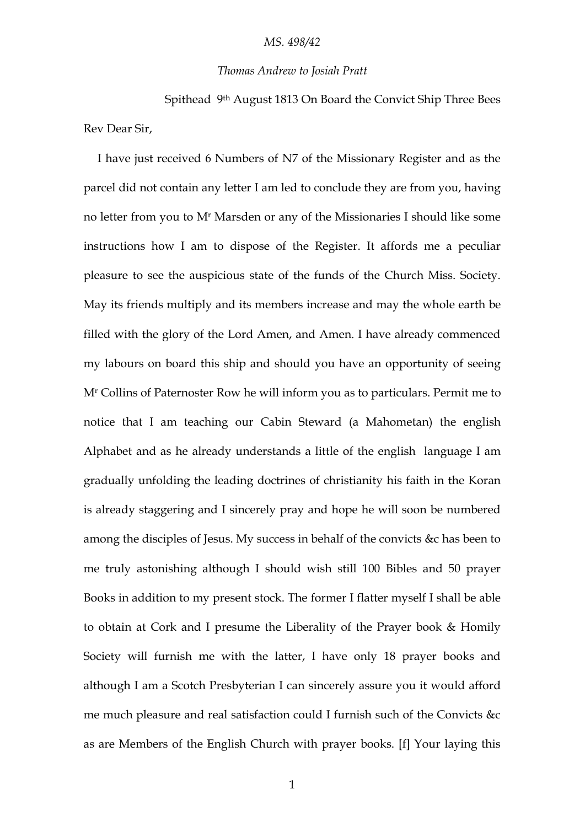## *MS. 498/42*

## *Thomas Andrew to Josiah Pratt*

Spithead 9th August 1813 On Board the Convict Ship Three Bees Rev Dear Sir,

I have just received 6 Numbers of N7 of the Missionary Register and as the parcel did not contain any letter I am led to conclude they are from you, having no letter from you to M<sup>r</sup> Marsden or any of the Missionaries I should like some instructions how I am to dispose of the Register. It affords me a peculiar pleasure to see the auspicious state of the funds of the Church Miss. Society. May its friends multiply and its members increase and may the whole earth be filled with the glory of the Lord Amen, and Amen. I have already commenced my labours on board this ship and should you have an opportunity of seeing M<sup>r</sup> Collins of Paternoster Row he will inform you as to particulars. Permit me to notice that I am teaching our Cabin Steward (a Mahometan) the english Alphabet and as he already understands a little of the english language I am gradually unfolding the leading doctrines of christianity his faith in the Koran is already staggering and I sincerely pray and hope he will soon be numbered among the disciples of Jesus. My success in behalf of the convicts &c has been to me truly astonishing although I should wish still 100 Bibles and 50 prayer Books in addition to my present stock. The former I flatter myself I shall be able to obtain at Cork and I presume the Liberality of the Prayer book & Homily Society will furnish me with the latter, I have only 18 prayer books and although I am a Scotch Presbyterian I can sincerely assure you it would afford me much pleasure and real satisfaction could I furnish such of the Convicts &c as are Members of the English Church with prayer books. [f] Your laying this